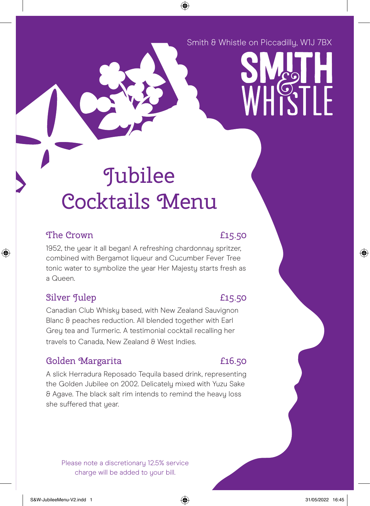## Smith & Whistle on Piccadilly, W1J 7BX



⊕

## The Crown 2008 2008 2015.50

◈

1952, the year it all began! A refreshing chardonnay spritzer, combined with Bergamot liqueur and Cucumber Fever Tree tonic water to symbolize the year Her Majesty starts fresh as a Queen.

## Silver Julep **E15.50**

Canadian Club Whisky based, with New Zealand Sauvignon Blanc & peaches reduction. All blended together with Earl Grey tea and Turmeric. A testimonial cocktail recalling her travels to Canada, New Zealand & West Indies.

# Golden Margarita **E16.50**

A slick Herradura Reposado Tequila based drink, representing the Golden Jubilee on 2002. Delicately mixed with Yuzu Sake & Agave. The black salt rim intends to remind the heavy loss she suffered that year.

Please note a discretionary 12.5% service charge will be added to your bill.

⊕